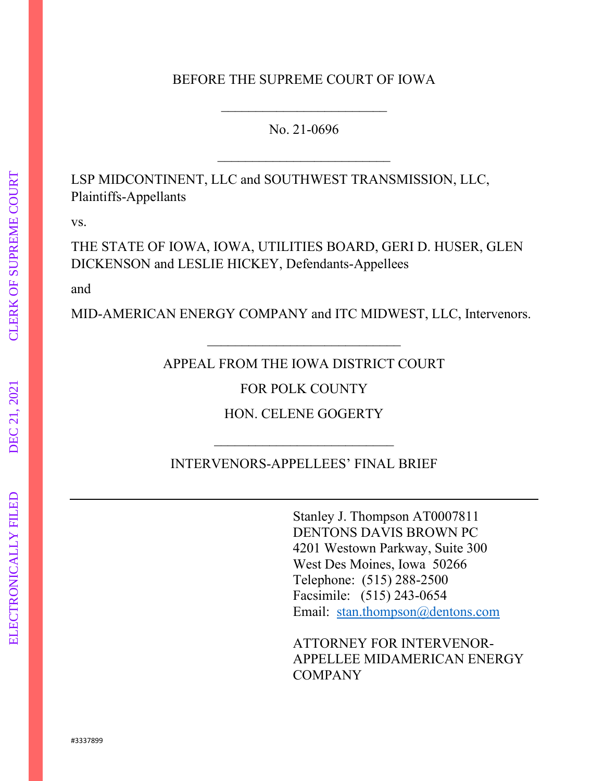### BEFORE THE SUPREME COURT OF IOWA

No. 21-0696

\_\_\_\_\_\_\_\_\_\_\_\_\_\_\_\_\_\_\_\_\_\_\_\_\_

 $\overline{\phantom{a}}$ 

LSP MIDCONTINENT, LLC and SOUTHWEST TRANSMISSION, LLC, Plaintiffs-Appellants

vs.

THE STATE OF IOWA, IOWA, UTILITIES BOARD, GERI D. HUSER, GLEN DICKENSON and LESLIE HICKEY, Defendants-Appellees

and

MID-AMERICAN ENERGY COMPANY and ITC MIDWEST, LLC, Intervenors.

APPEAL FROM THE IOWA DISTRICT COURT

\_\_\_\_\_\_\_\_\_\_\_\_\_\_\_\_\_\_\_\_\_\_\_\_\_\_\_\_

FOR POLK COUNTY

HON. CELENE GOGERTY

INTERVENORS-APPELLEES' FINAL BRIEF

 $\overline{\phantom{a}}$  , and the set of the set of the set of the set of the set of the set of the set of the set of the set of the set of the set of the set of the set of the set of the set of the set of the set of the set of the s

Stanley J. Thompson AT0007811 DENTONS DAVIS BROWN PC 4201 Westown Parkway, Suite 300 West Des Moines, Iowa 50266 Telephone: (515) 288-2500 Facsimile: (515) 243-0654 Email: [stan.thompson@dentons.com](mailto:stan.thompson@dentons.com)

ATTORNEY FOR INTERVENOR-APPELLEE MIDAMERICAN ENERGY COMPANY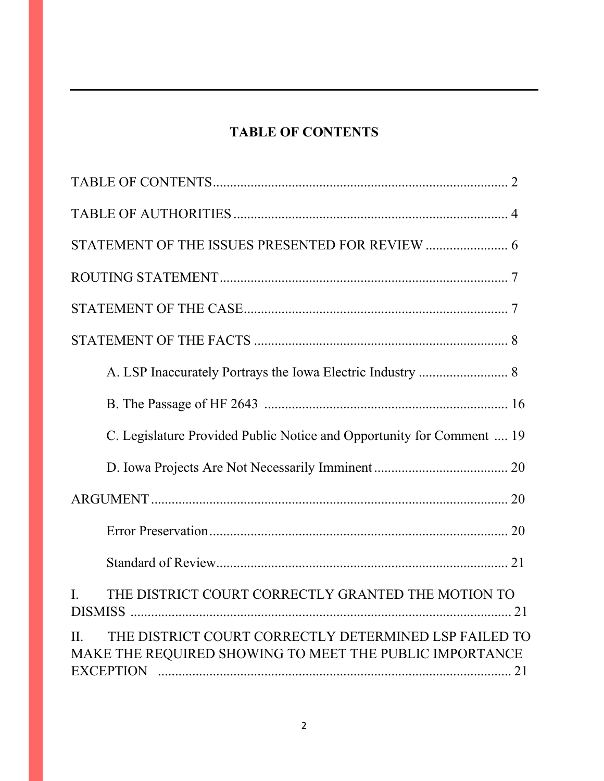# **TABLE OF CONTENTS**

| C. Legislature Provided Public Notice and Opportunity for Comment  19                                                   |
|-------------------------------------------------------------------------------------------------------------------------|
|                                                                                                                         |
|                                                                                                                         |
|                                                                                                                         |
|                                                                                                                         |
| THE DISTRICT COURT CORRECTLY GRANTED THE MOTION TO<br>$\mathbf{I}$ .                                                    |
| THE DISTRICT COURT CORRECTLY DETERMINED LSP FAILED TO<br>II.<br>MAKE THE REQUIRED SHOWING TO MEET THE PUBLIC IMPORTANCE |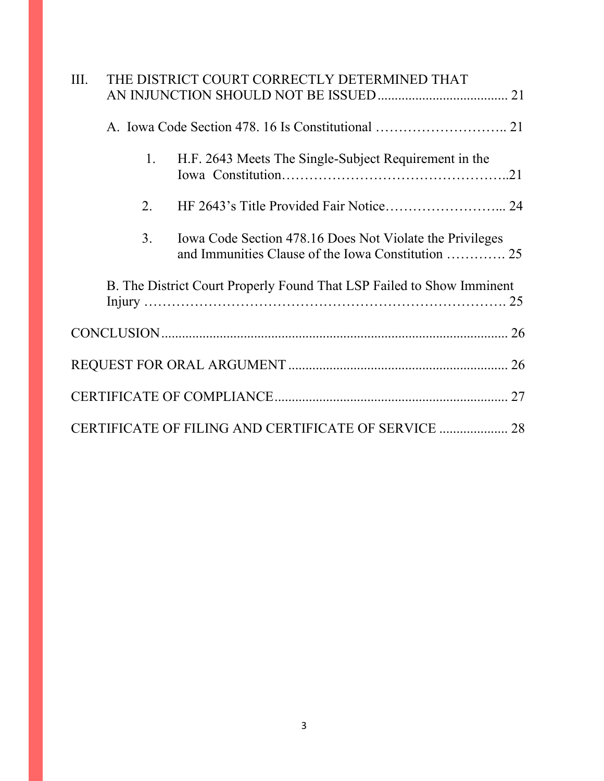| III.                                                                  | THE DISTRICT COURT CORRECTLY DETERMINED THAT |    |                                                          |  |  |
|-----------------------------------------------------------------------|----------------------------------------------|----|----------------------------------------------------------|--|--|
|                                                                       |                                              |    |                                                          |  |  |
|                                                                       |                                              | 1. | H.F. 2643 Meets The Single-Subject Requirement in the    |  |  |
|                                                                       |                                              | 2. |                                                          |  |  |
|                                                                       |                                              | 3. | Iowa Code Section 478.16 Does Not Violate the Privileges |  |  |
| B. The District Court Properly Found That LSP Failed to Show Imminent |                                              |    |                                                          |  |  |
|                                                                       |                                              |    |                                                          |  |  |
|                                                                       |                                              |    |                                                          |  |  |
|                                                                       |                                              |    |                                                          |  |  |
| CERTIFICATE OF FILING AND CERTIFICATE OF SERVICE  28                  |                                              |    |                                                          |  |  |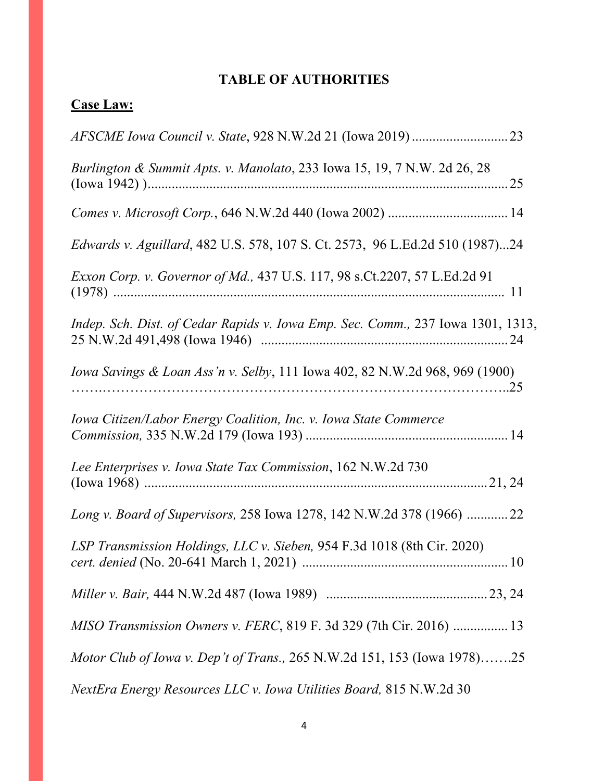# **TABLE OF AUTHORITIES**

# **Case Law:**

| Burlington & Summit Apts. v. Manolato, 233 Iowa 15, 19, 7 N.W. 2d 26, 28        |
|---------------------------------------------------------------------------------|
|                                                                                 |
| Edwards v. Aguillard, 482 U.S. 578, 107 S. Ct. 2573, 96 L.Ed.2d 510 (1987)24    |
| Exxon Corp. v. Governor of Md., 437 U.S. 117, 98 s.Ct.2207, 57 L.Ed.2d 91       |
| Indep. Sch. Dist. of Cedar Rapids v. Iowa Emp. Sec. Comm., 237 Iowa 1301, 1313, |
| Iowa Savings & Loan Ass'n v. Selby, 111 Iowa 402, 82 N.W.2d 968, 969 (1900)     |
| Iowa Citizen/Labor Energy Coalition, Inc. v. Iowa State Commerce                |
| Lee Enterprises v. Iowa State Tax Commission, 162 N.W.2d 730                    |
| Long v. Board of Supervisors, 258 Iowa 1278, 142 N.W.2d 378 (1966)  22          |
| LSP Transmission Holdings, LLC v. Sieben, 954 F.3d 1018 (8th Cir. 2020)         |
|                                                                                 |
| MISO Transmission Owners v. FERC, 819 F. 3d 329 (7th Cir. 2016)  13             |
| <i>Motor Club of Iowa v. Dep't of Trans., 265 N.W.2d 151, 153 (Iowa 1978)25</i> |
| NextEra Energy Resources LLC v. Iowa Utilities Board, 815 N.W.2d 30             |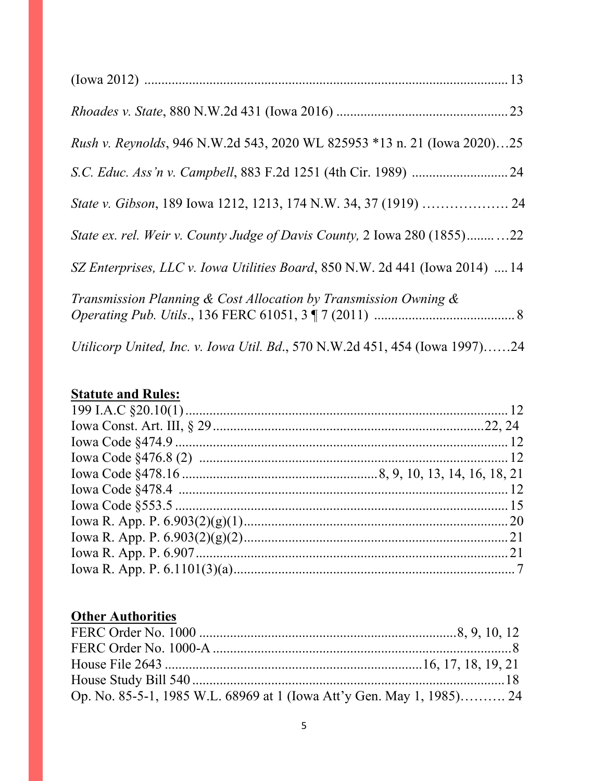| Rush v. Reynolds, 946 N.W.2d 543, 2020 WL 825953 *13 n. 21 (Iowa 2020)25     |
|------------------------------------------------------------------------------|
|                                                                              |
|                                                                              |
| State ex. rel. Weir v. County Judge of Davis County, 2 Iowa 280 (1855)22     |
| SZ Enterprises, LLC v. Iowa Utilities Board, 850 N.W. 2d 441 (Iowa 2014)  14 |
| Transmission Planning & Cost Allocation by Transmission Owning $\&$          |
| Utilicorp United, Inc. v. Iowa Util. Bd., 570 N.W.2d 451, 454 (Iowa 1997)24  |

# **Statute and Rules:**

# **Other Authorities**

| Op. No. 85-5-1, 1985 W.L. 68969 at 1 (Iowa Att'y Gen. May 1, 1985) 24 |  |
|-----------------------------------------------------------------------|--|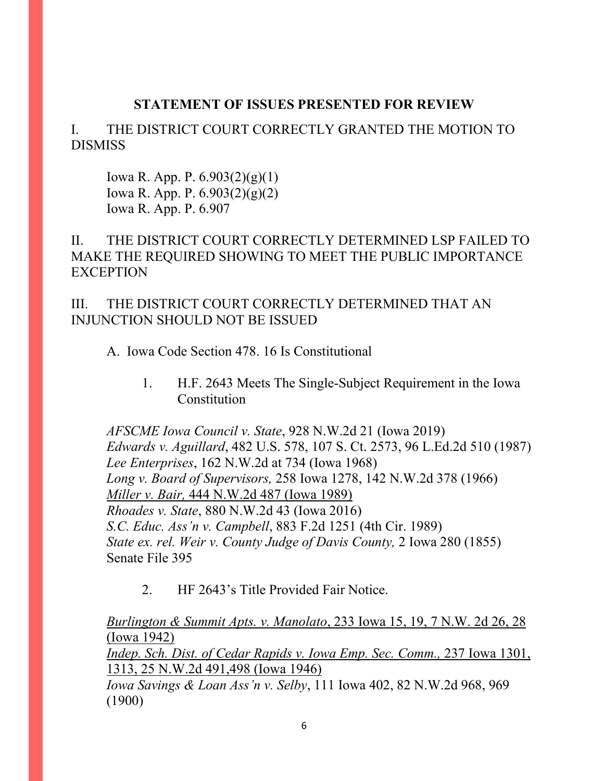## **STATEMENT OF ISSUES PRESENTED FOR REVIEW**

I. THE DISTRICT COURT CORRECTLY GRANTED THE MOTION TO DISMISS

Iowa R. App. P. 6.903(2)(g)(1) Iowa R. App. P. 6.903(2)(g)(2) Iowa R. App. P. 6.907

II. THE DISTRICT COURT CORRECTLY DETERMINED LSP FAILED TO MAKE THE REQUIRED SHOWING TO MEET THE PUBLIC IMPORTANCE **EXCEPTION** 

III. THE DISTRICT COURT CORRECTLY DETERMINED THAT AN INJUNCTION SHOULD NOT BE ISSUED

A. Iowa Code Section 478. 16 Is Constitutional

1. H.F. 2643 Meets The Single-Subject Requirement in the Iowa **Constitution** 

*AFSCME Iowa Council v. State*, 928 N.W.2d 21 (Iowa 2019) *Edwards v. Aguillard*[, 482 U.S. 578, 107 S. Ct. 2573, 96 L.Ed.2d 510 \(1987\)](http://www.westlaw.com/Link/Document/FullText?findType=Y&serNum=1987076775&pubNum=0000708&originatingDoc=Ib853424078c711e998e8870e22e55653&refType=RP&fi=co_pp_sp_708_2605&originationContext=document&vr=3.0&rs=cblt1.0&transitionType=DocumentItem&contextData=(sc.Search)#co_pp_sp_708_2605) *Lee Enterprises*, 162 N.W.2d at 734 (Iowa 1968) *Long v. Board of Supervisors,* [258 Iowa 1278, 142 N.W.2d 378 \(1966\)](http://www.westlaw.com/Link/Document/FullText?findType=Y&serNum=1966110886&pubNum=0000595&originatingDoc=Idc98de52ff7611d98ac8f235252e36df&refType=RP&fi=co_pp_sp_595_381&originationContext=document&vr=3.0&rs=cblt1.0&transitionType=DocumentItem&contextData=(sc.DocLink)#co_pp_sp_595_381) *Miller v. Bair,* 444 N.W.2d 487 (Iowa 1989) *Rhoades v. State*[, 880 N.W.2d 43 \(Iowa 2016\)](http://www.westlaw.com/Link/Document/FullText?findType=Y&serNum=2038680033&pubNum=0000595&originatingDoc=Ib853424078c711e998e8870e22e55653&refType=RP&fi=co_pp_sp_595_447&originationContext=document&vr=3.0&rs=cblt1.0&transitionType=DocumentItem&contextData=(sc.Search)#co_pp_sp_595_447) *S.C. Educ. Ass'n v. Campbell*[, 883 F.2d 1251 \(4th Cir. 1989\)](http://www.westlaw.com/Link/Document/FullText?findType=Y&serNum=1989124976&pubNum=0000350&originatingDoc=Ib853424078c711e998e8870e22e55653&refType=RP&fi=co_pp_sp_350_1261&originationContext=document&vr=3.0&rs=cblt1.0&transitionType=DocumentItem&contextData=(sc.Search)#co_pp_sp_350_1261) *[State ex. rel. Weir v. County Judge of Davis County,](http://www.westlaw.com/Link/Document/FullText?findType=Y&serNum=1855001127&pubNum=0000444&originatingDoc=Idc98de52ff7611d98ac8f235252e36df&refType=RP&fi=co_pp_sp_444_283&originationContext=document&vr=3.0&rs=cblt1.0&transitionType=DocumentItem&contextData=(sc.DocLink)#co_pp_sp_444_283)* 2 Iowa 280 (1855) Senate File 395

2. HF 2643's Title Provided Fair Notice.

*Burlington & Summit Apts. v. Manolato*, 233 Iowa 15, 19, 7 N.W. 2d 26, 28 (Iowa 1942)

*Indep. Sch. Dist. of Cedar Rapids v. Iowa Emp. Sec. Comm., 237 Iowa 1301,* 1313, 25 N.W.2d 491,498 (Iowa 1946)

*Iowa Savings & Loan Ass'n v. Selby*, 111 Iowa 402, 82 N.W.2d 968, 969 (1900)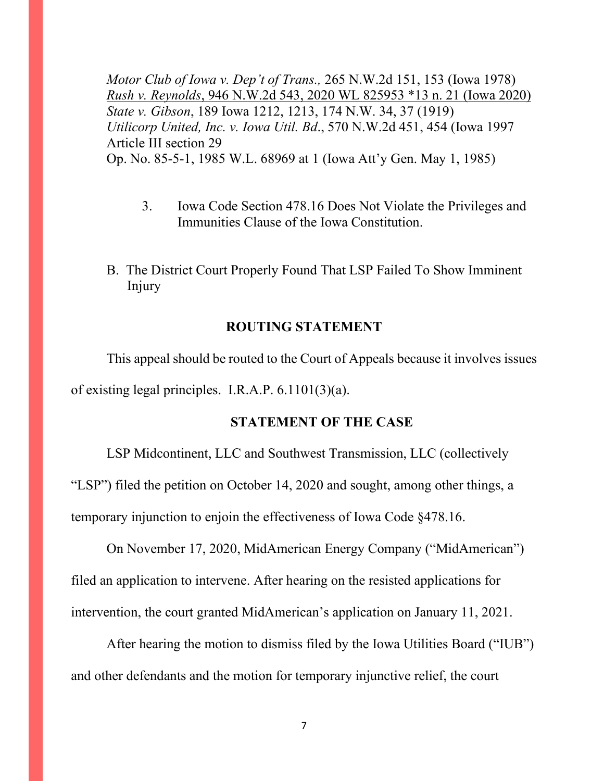*Motor Club of Iowa v. Dep't of Trans.,* 265 N.W.2d 151, 153 (Iowa 1978) *Rush v. Reynolds*, 946 N.W.2d 543, 2020 WL 825953 \*13 n. 21 (Iowa 2020) *State v. Gibson*, 189 Iowa 1212, 1213, 174 N.W. 34, 37 (1919) *Utilicorp United, Inc. v. Iowa Util. Bd*., 570 N.W.2d 451, 454 (Iowa 1997 Article III section 29 Op. No. 85-5-1, 1985 W.L. 68969 at 1 (Iowa Att'y Gen. May 1, 1985)

- 3. Iowa Code Section 478.16 Does Not Violate the Privileges and Immunities Clause of the Iowa Constitution.
- B. The District Court Properly Found That LSP Failed To Show Imminent Injury

### **ROUTING STATEMENT**

This appeal should be routed to the Court of Appeals because it involves issues of existing legal principles. I.R.A.P. 6.1101(3)(a).

#### **STATEMENT OF THE CASE**

LSP Midcontinent, LLC and Southwest Transmission, LLC (collectively "LSP") filed the petition on October 14, 2020 and sought, among other things, a temporary injunction to enjoin the effectiveness of Iowa Code §478.16.

On November 17, 2020, MidAmerican Energy Company ("MidAmerican") filed an application to intervene. After hearing on the resisted applications for intervention, the court granted MidAmerican's application on January 11, 2021.

After hearing the motion to dismiss filed by the Iowa Utilities Board ("IUB") and other defendants and the motion for temporary injunctive relief, the court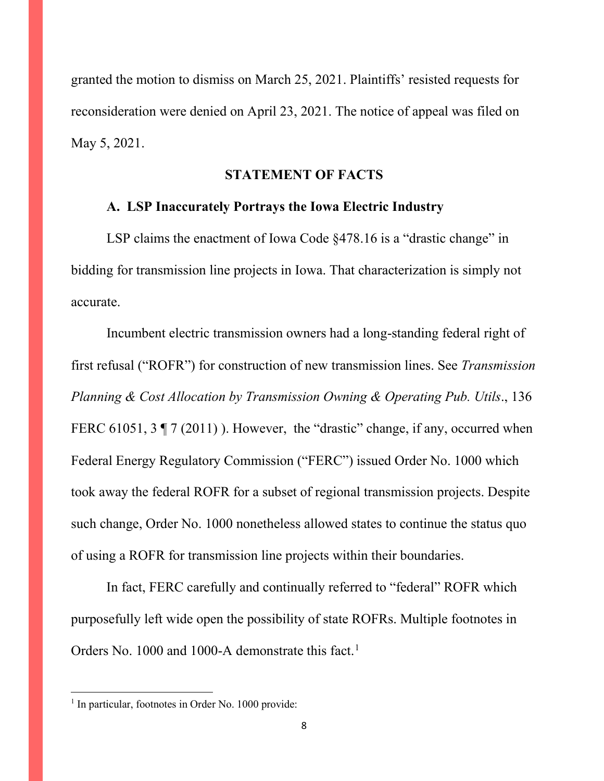granted the motion to dismiss on March 25, 2021. Plaintiffs' resisted requests for reconsideration were denied on April 23, 2021. The notice of appeal was filed on May 5, 2021.

#### **STATEMENT OF FACTS**

### **A. LSP Inaccurately Portrays the Iowa Electric Industry**

LSP claims the enactment of Iowa Code §478.16 is a "drastic change" in bidding for transmission line projects in Iowa. That characterization is simply not accurate.

Incumbent electric transmission owners had a long-standing federal right of first refusal ("ROFR") for construction of new transmission lines. See *Transmission Planning & Cost Allocation by Transmission Owning & Operating Pub. Utils*., 136 FERC 61051, 3  $\sqrt{7}$  (2011)). However, the "drastic" change, if any, occurred when Federal Energy Regulatory Commission ("FERC") issued Order No. 1000 which took away the federal ROFR for a subset of regional transmission projects. Despite such change, Order No. 1000 nonetheless allowed states to continue the status quo of using a ROFR for transmission line projects within their boundaries.

In fact, FERC carefully and continually referred to "federal" ROFR which purposefully left wide open the possibility of state ROFRs. Multiple footnotes in Orders No. [1](#page-7-0)000 and 1000-A demonstrate this fact.<sup>1</sup>

<span id="page-7-0"></span><sup>&</sup>lt;sup>1</sup> In particular, footnotes in Order No. 1000 provide: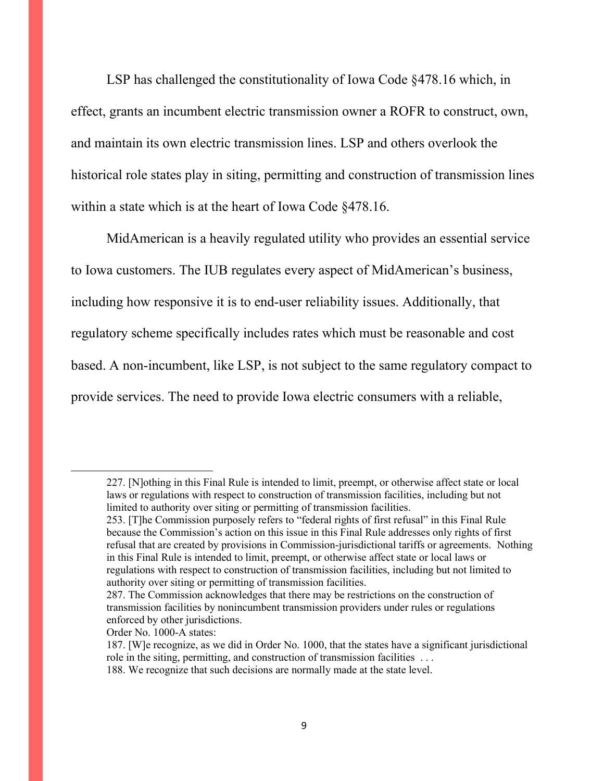LSP has challenged the constitutionality of Iowa Code §478.16 which, in effect, grants an incumbent electric transmission owner a ROFR to construct, own, and maintain its own electric transmission lines. LSP and others overlook the historical role states play in siting, permitting and construction of transmission lines within a state which is at the heart of Iowa Code §478.16.

MidAmerican is a heavily regulated utility who provides an essential service to Iowa customers. The IUB regulates every aspect of MidAmerican's business, including how responsive it is to end-user reliability issues. Additionally, that regulatory scheme specifically includes rates which must be reasonable and cost based. A non-incumbent, like LSP, is not subject to the same regulatory compact to provide services. The need to provide Iowa electric consumers with a reliable,

<sup>227. [</sup>N]othing in this Final Rule is intended to limit, preempt, or otherwise affect state or local laws or regulations with respect to construction of transmission facilities, including but not limited to authority over siting or permitting of transmission facilities.

<sup>253. [</sup>T]he Commission purposely refers to "federal rights of first refusal" in this Final Rule because the Commission's action on this issue in this Final Rule addresses only rights of first refusal that are created by provisions in Commission-jurisdictional tariffs or agreements. Nothing in this Final Rule is intended to limit, preempt, or otherwise affect state or local laws or regulations with respect to construction of transmission facilities, including but not limited to authority over siting or permitting of transmission facilities.

<sup>287.</sup> The Commission acknowledges that there may be restrictions on the construction of transmission facilities by nonincumbent transmission providers under rules or regulations enforced by other jurisdictions.

Order No. 1000-A states:

<sup>187. [</sup>W]e recognize, as we did in Order No. 1000, that the states have a significant jurisdictional role in the siting, permitting, and construction of transmission facilities . . .

<sup>188.</sup> We recognize that such decisions are normally made at the state level.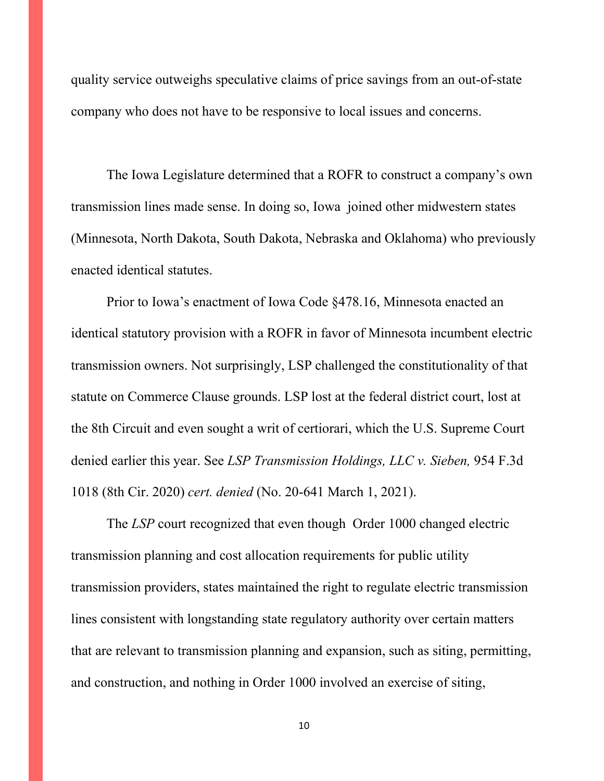quality service outweighs speculative claims of price savings from an out-of-state company who does not have to be responsive to local issues and concerns.

The Iowa Legislature determined that a ROFR to construct a company's own transmission lines made sense. In doing so, Iowa joined other midwestern states (Minnesota, North Dakota, South Dakota, Nebraska and Oklahoma) who previously enacted identical statutes.

Prior to Iowa's enactment of Iowa Code §478.16, Minnesota enacted an identical statutory provision with a ROFR in favor of Minnesota incumbent electric transmission owners. Not surprisingly, LSP challenged the constitutionality of that statute on Commerce Clause grounds. LSP lost at the federal district court, lost at the 8th Circuit and even sought a writ of certiorari, which the U.S. Supreme Court denied earlier this year. See *LSP Transmission Holdings, LLC v. Sieben,* 954 F.3d 1018 (8th Cir. 2020) *cert. denied* (No. 20-641 March 1, 2021).

The *LSP* court recognized that even though Order 1000 changed electric transmission planning and cost allocation requirements for public utility transmission providers, states maintained the right to regulate electric transmission lines consistent with longstanding state regulatory authority over certain matters that are relevant to transmission planning and expansion, such as siting, permitting, and construction, and nothing in Order 1000 involved an exercise of siting,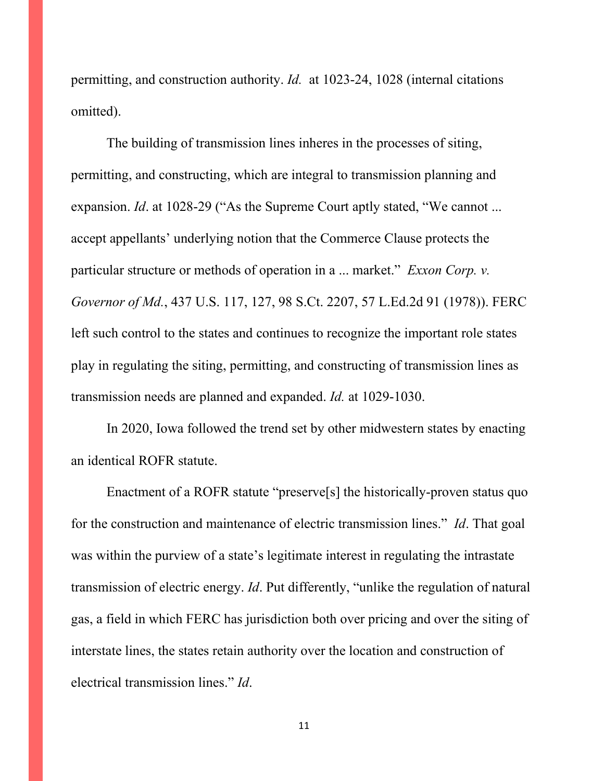permitting, and construction authority. *Id.* at 1023-24, 1028 (internal citations omitted).

The building of transmission lines inheres in the processes of siting, permitting, and constructing, which are integral to transmission planning and expansion. *Id.* at 1028-29 ("As the Supreme Court aptly stated, "We cannot ... accept appellants' underlying notion that the Commerce Clause protects the particular structure or methods of operation in a ... market." *[Exxon Corp. v.](http://www.westlaw.com/Link/Document/FullText?findType=Y&serNum=1978114261&pubNum=0000780&originatingDoc=I75143ee06ef711ea99df8ae889484d86&refType=RP&fi=co_pp_sp_780_127&originationContext=document&vr=3.0&rs=cblt1.0&transitionType=DocumentItem&contextData=(sc.Search)#co_pp_sp_780_127)  Governor of Md.*[, 437 U.S. 117, 127, 98 S.Ct. 2207, 57 L.Ed.2d 91 \(1978\)\)](http://www.westlaw.com/Link/Document/FullText?findType=Y&serNum=1978114261&pubNum=0000780&originatingDoc=I75143ee06ef711ea99df8ae889484d86&refType=RP&fi=co_pp_sp_780_127&originationContext=document&vr=3.0&rs=cblt1.0&transitionType=DocumentItem&contextData=(sc.Search)#co_pp_sp_780_127). FERC left such control to the states and continues to recognize the important role states play in regulating the siting, permitting, and constructing of transmission lines as transmission needs are planned and expanded. *Id.* at 1029-1030.

In 2020, Iowa followed the trend set by other midwestern states by enacting an identical ROFR statute.

Enactment of a ROFR statute "preserve[s] the historically-proven status quo for the construction and maintenance of electric transmission lines." *Id*. That goal was within the purview of a state's legitimate interest in regulating the intrastate transmission of electric energy. *Id*. Put differently, "unlike the regulation of natural gas, a field in which FERC has jurisdiction both over pricing and over the siting of interstate lines, the states retain authority over the location and construction of electrical transmission lines." *Id*.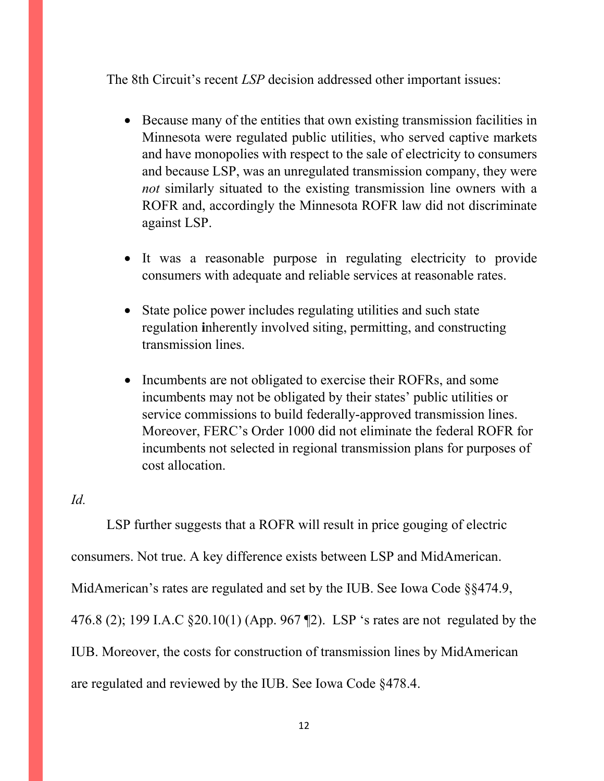The 8th Circuit's recent *LSP* decision addressed other important issues:

- Because many of the entities that own existing transmission facilities in Minnesota were regulated public utilities, who served captive markets and have monopolies with respect to the sale of electricity to consumers and because LSP, was an unregulated transmission company, they were *not* similarly situated to the existing transmission line owners with a ROFR and, accordingly the Minnesota ROFR law did not discriminate against LSP.
- It was a reasonable purpose in regulating electricity to provide consumers with adequate and reliable services at reasonable rates.
- State police power includes regulating utilities and such state regulation **i**nherently involved siting, permitting, and constructing transmission lines.
- Incumbents are not obligated to exercise their ROFRs, and some incumbents may not be obligated by their states' public utilities or service commissions to build federally-approved transmission lines. Moreover, FERC's Order 1000 did not eliminate the federal ROFR for incumbents not selected in regional transmission plans for purposes of cost allocation.

*Id.* 

LSP further suggests that a ROFR will result in price gouging of electric consumers. Not true. A key difference exists between LSP and MidAmerican. MidAmerican's rates are regulated and set by the IUB. See Iowa Code §§474.9, 476.8 (2); 199 I.A.C §20.10(1) (App. 967 ¶2). LSP 's rates are not regulated by the IUB. Moreover, the costs for construction of transmission lines by MidAmerican are regulated and reviewed by the IUB. See Iowa Code §478.4.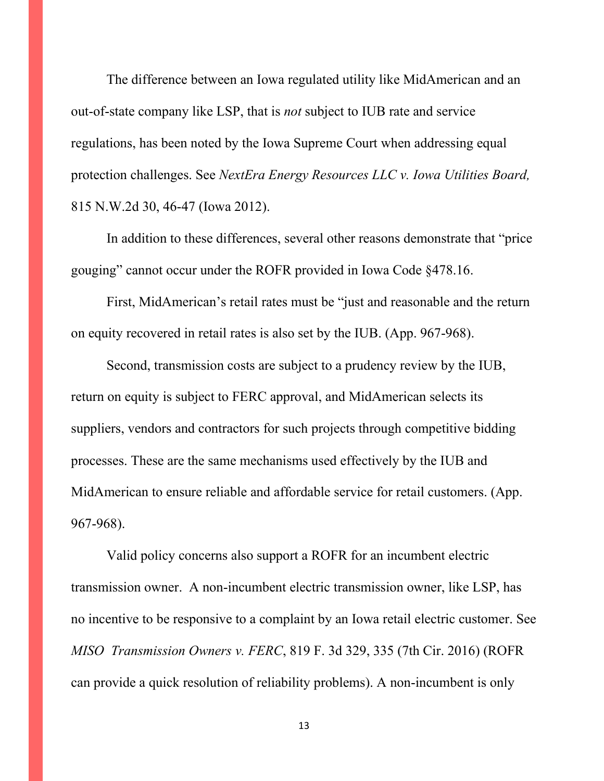The difference between an Iowa regulated utility like MidAmerican and an out-of-state company like LSP, that is *not* subject to IUB rate and service regulations, has been noted by the Iowa Supreme Court when addressing equal protection challenges. See *NextEra Energy Resources LLC v. Iowa Utilities Board,*  815 N.W.2d 30, 46-47 (Iowa 2012).

In addition to these differences, several other reasons demonstrate that "price gouging" cannot occur under the ROFR provided in Iowa Code §478.16.

First, MidAmerican's retail rates must be "just and reasonable and the return on equity recovered in retail rates is also set by the IUB. (App. 967-968).

Second, transmission costs are subject to a prudency review by the IUB, return on equity is subject to FERC approval, and MidAmerican selects its suppliers, vendors and contractors for such projects through competitive bidding processes. These are the same mechanisms used effectively by the IUB and MidAmerican to ensure reliable and affordable service for retail customers. (App. 967-968).

Valid policy concerns also support a ROFR for an incumbent electric transmission owner. A non-incumbent electric transmission owner, like LSP, has no incentive to be responsive to a complaint by an Iowa retail electric customer. See *MISO Transmission Owners v. FERC*, 819 F. 3d 329, 335 (7th Cir. 2016) (ROFR can provide a quick resolution of reliability problems). A non-incumbent is only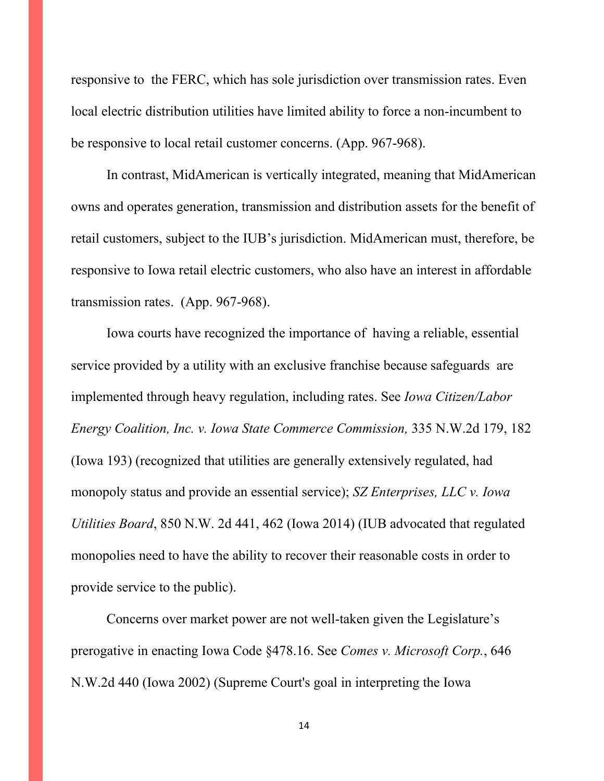responsive to the FERC, which has sole jurisdiction over transmission rates. Even local electric distribution utilities have limited ability to force a non-incumbent to be responsive to local retail customer concerns. (App. 967-968).

In contrast, MidAmerican is vertically integrated, meaning that MidAmerican owns and operates generation, transmission and distribution assets for the benefit of retail customers, subject to the IUB's jurisdiction. MidAmerican must, therefore, be responsive to Iowa retail electric customers, who also have an interest in affordable transmission rates. (App. 967-968).

Iowa courts have recognized the importance of having a reliable, essential service provided by a utility with an exclusive franchise because safeguards are implemented through heavy regulation, including rates. See *Iowa Citizen/Labor Energy Coalition, Inc. v. Iowa State Commerce Commission,* 335 N.W.2d 179, 182 (Iowa 193) (recognized that utilities are generally extensively regulated, had monopoly status and provide an essential service); *SZ Enterprises, LLC v. Iowa Utilities Board*, 850 N.W. 2d 441, 462 (Iowa 2014) (IUB advocated that regulated monopolies need to have the ability to recover their reasonable costs in order to provide service to the public).

Concerns over market power are not well-taken given the Legislature's prerogative in enacting Iowa Code §478.16. See *[Comes v. Microsoft Corp.](https://protect-eu.mimecast.com/s/TNMqCqYRgt88MVPPcZdAGP)*, 646 [N.W.2d 440](https://protect-eu.mimecast.com/s/TNMqCqYRgt88MVPPcZdAGP) (Iowa 2002) (Supreme Court's goal in interpreting the Iowa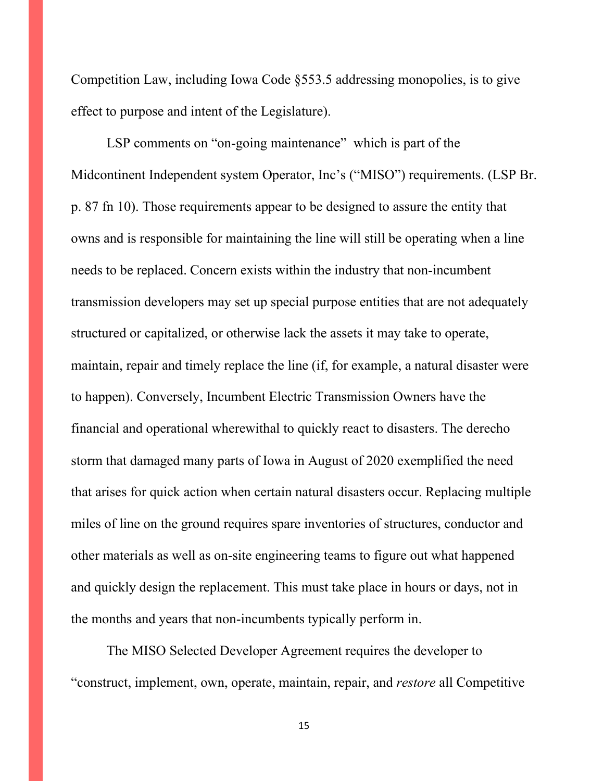Competition Law, including Iowa Code §553.5 addressing monopolies, is to give effect to purpose and intent of the Legislature).

LSP comments on "on-going maintenance" which is part of the Midcontinent Independent system Operator, Inc's ("MISO") requirements. (LSP Br. p. 87 fn 10). Those requirements appear to be designed to assure the entity that owns and is responsible for maintaining the line will still be operating when a line needs to be replaced. Concern exists within the industry that non-incumbent transmission developers may set up special purpose entities that are not adequately structured or capitalized, or otherwise lack the assets it may take to operate, maintain, repair and timely replace the line (if, for example, a natural disaster were to happen). Conversely, Incumbent Electric Transmission Owners have the financial and operational wherewithal to quickly react to disasters. The derecho storm that damaged many parts of Iowa in August of 2020 exemplified the need that arises for quick action when certain natural disasters occur. Replacing multiple miles of line on the ground requires spare inventories of structures, conductor and other materials as well as on-site engineering teams to figure out what happened and quickly design the replacement. This must take place in hours or days, not in the months and years that non-incumbents typically perform in.

The MISO Selected Developer Agreement requires the developer to "construct, implement, own, operate, maintain, repair, and *restore* all Competitive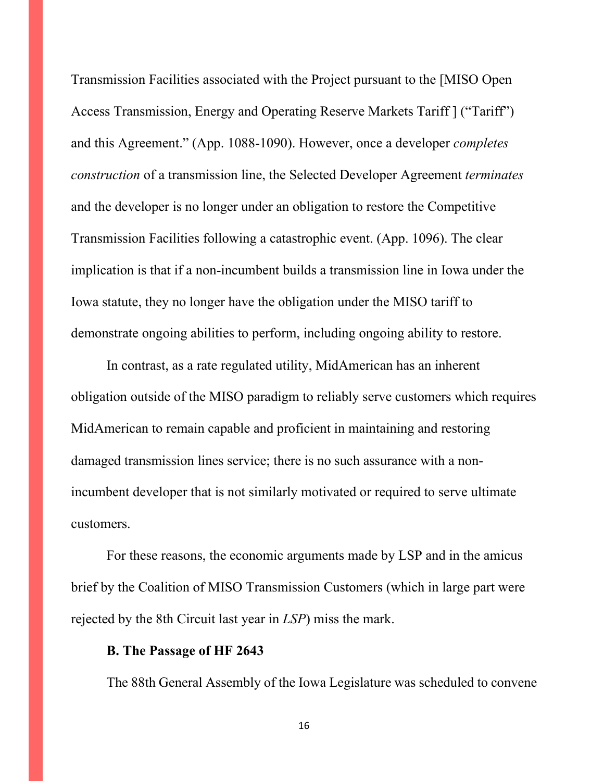Transmission Facilities associated with the Project pursuant to the [MISO Open Access Transmission, Energy and Operating Reserve Markets Tariff ] ("Tariff") and this Agreement." (App. 1088-1090). However, once a developer *completes construction* of a transmission line, the Selected Developer Agreement *terminates* and the developer is no longer under an obligation to restore the Competitive Transmission Facilities following a catastrophic event. (App. 1096). The clear implication is that if a non-incumbent builds a transmission line in Iowa under the Iowa statute, they no longer have the obligation under the MISO tariff to demonstrate ongoing abilities to perform, including ongoing ability to restore.

In contrast, as a rate regulated utility, MidAmerican has an inherent obligation outside of the MISO paradigm to reliably serve customers which requires MidAmerican to remain capable and proficient in maintaining and restoring damaged transmission lines service; there is no such assurance with a nonincumbent developer that is not similarly motivated or required to serve ultimate customers.

For these reasons, the economic arguments made by LSP and in the amicus brief by the Coalition of MISO Transmission Customers (which in large part were rejected by the 8th Circuit last year in *LSP*) miss the mark.

#### **B. The Passage of HF 2643**

The 88th General Assembly of the Iowa Legislature was scheduled to convene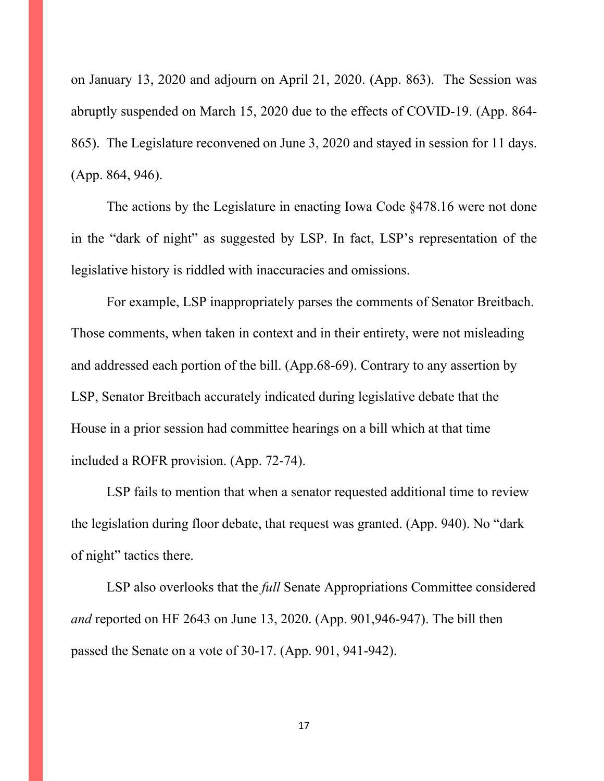on January 13, 2020 and adjourn on April 21, 2020. (App. 863). The Session was abruptly suspended on March 15, 2020 due to the effects of COVID-19. (App. 864- 865). The Legislature reconvened on June 3, 2020 and stayed in session for 11 days. (App. 864, 946).

The actions by the Legislature in enacting Iowa Code §478.16 were not done in the "dark of night" as suggested by LSP. In fact, LSP's representation of the legislative history is riddled with inaccuracies and omissions.

For example, LSP inappropriately parses the comments of Senator Breitbach. Those comments, when taken in context and in their entirety, were not misleading and addressed each portion of the bill. (App.68-69). Contrary to any assertion by LSP, Senator Breitbach accurately indicated during legislative debate that the House in a prior session had committee hearings on a bill which at that time included a ROFR provision. (App. 72-74).

LSP fails to mention that when a senator requested additional time to review the legislation during floor debate, that request was granted. (App. 940). No "dark of night" tactics there.

LSP also overlooks that the *full* Senate Appropriations Committee considered *and* reported on HF 2643 on June 13, 2020. (App. 901,946-947). The bill then passed the Senate on a vote of 30-17. (App. 901, 941-942).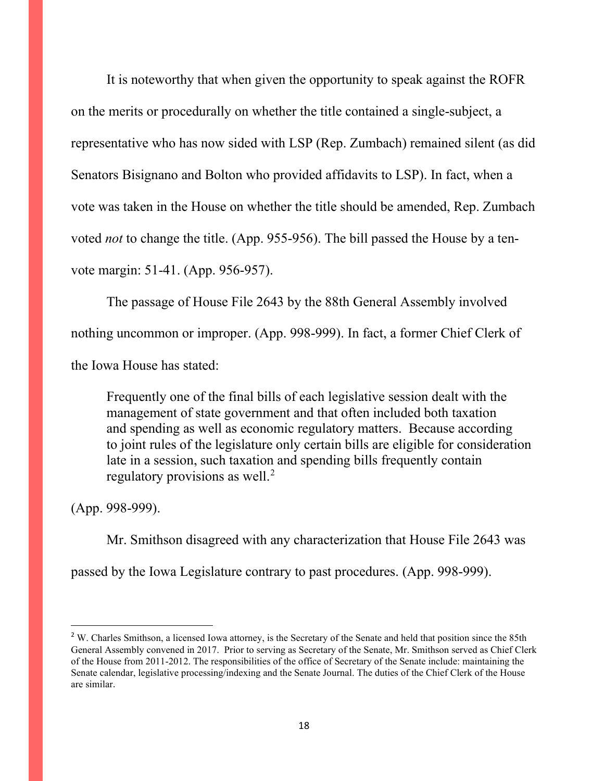It is noteworthy that when given the opportunity to speak against the ROFR on the merits or procedurally on whether the title contained a single-subject, a representative who has now sided with LSP (Rep. Zumbach) remained silent (as did Senators Bisignano and Bolton who provided affidavits to LSP). In fact, when a vote was taken in the House on whether the title should be amended, Rep. Zumbach voted *not* to change the title. (App. 955-956). The bill passed the House by a tenvote margin: 51-41. (App. 956-957).

The passage of House File 2643 by the 88th General Assembly involved nothing uncommon or improper. (App. 998-999). In fact, a former Chief Clerk of the Iowa House has stated:

Frequently one of the final bills of each legislative session dealt with the management of state government and that often included both taxation and spending as well as economic regulatory matters. Because according to joint rules of the legislature only certain bills are eligible for consideration late in a session, such taxation and spending bills frequently contain regulatory provisions as well.<sup>[2](#page-17-0)</sup>

(App. 998-999).

Mr. Smithson disagreed with any characterization that House File 2643 was passed by the Iowa Legislature contrary to past procedures. (App. 998-999).

<span id="page-17-0"></span><sup>&</sup>lt;sup>2</sup> W. Charles Smithson, a licensed Iowa attorney, is the Secretary of the Senate and held that position since the 85th General Assembly convened in 2017. Prior to serving as Secretary of the Senate, Mr. Smithson served as Chief Clerk of the House from 2011-2012. The responsibilities of the office of Secretary of the Senate include: maintaining the Senate calendar, legislative processing/indexing and the Senate Journal. The duties of the Chief Clerk of the House are similar.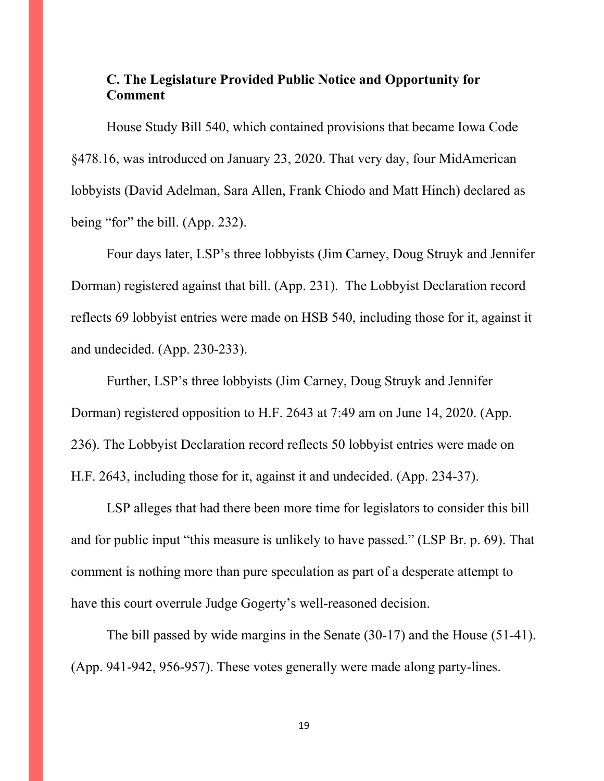# **C. The Legislature Provided Public Notice and Opportunity for Comment**

House Study Bill 540, which contained provisions that became Iowa Code §478.16, was introduced on January 23, 2020. That very day, four MidAmerican lobbyists (David Adelman, Sara Allen, Frank Chiodo and Matt Hinch) declared as being "for" the bill. (App. 232).

Four days later, LSP's three lobbyists (Jim Carney, Doug Struyk and Jennifer Dorman) registered against that bill. (App. 231). The Lobbyist Declaration record reflects 69 lobbyist entries were made on HSB 540, including those for it, against it and undecided. (App. 230-233).

Further, LSP's three lobbyists (Jim Carney, Doug Struyk and Jennifer Dorman) registered opposition to H.F. 2643 at 7:49 am on June 14, 2020. (App. 236). The Lobbyist Declaration record reflects 50 lobbyist entries were made on H.F. 2643, including those for it, against it and undecided. (App. 234-37).

LSP alleges that had there been more time for legislators to consider this bill and for public input "this measure is unlikely to have passed." (LSP Br. p. 69). That comment is nothing more than pure speculation as part of a desperate attempt to have this court overrule Judge Gogerty's well-reasoned decision.

The bill passed by wide margins in the Senate (30-17) and the House (51-41). (App. 941-942, 956-957). These votes generally were made along party-lines.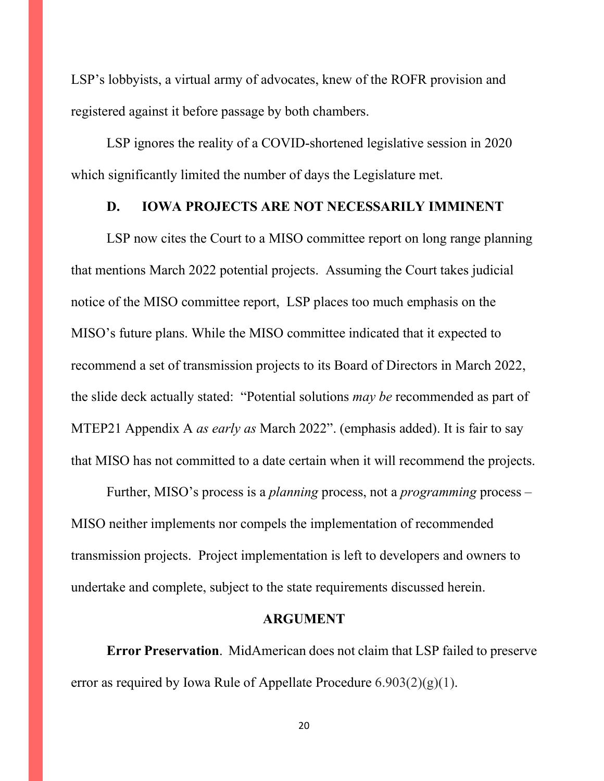LSP's lobbyists, a virtual army of advocates, knew of the ROFR provision and registered against it before passage by both chambers.

LSP ignores the reality of a COVID-shortened legislative session in 2020 which significantly limited the number of days the Legislature met.

#### **D. IOWA PROJECTS ARE NOT NECESSARILY IMMINENT**

LSP now cites the Court to a MISO committee report on long range planning that mentions March 2022 potential projects. Assuming the Court takes judicial notice of the MISO committee report, LSP places too much emphasis on the MISO's future plans. While the MISO committee indicated that it expected to recommend a set of transmission projects to its Board of Directors in March 2022, the slide deck actually stated: "Potential solutions *may be* recommended as part of MTEP21 Appendix A *as early as* March 2022". (emphasis added). It is fair to say that MISO has not committed to a date certain when it will recommend the projects.

Further, MISO's process is a *planning* process, not a *programming* process – MISO neither implements nor compels the implementation of recommended transmission projects. Project implementation is left to developers and owners to undertake and complete, subject to the state requirements discussed herein.

#### **ARGUMENT**

**Error Preservation**. MidAmerican does not claim that LSP failed to preserve error as required by Iowa Rule of Appellate Procedure  $6.903(2)(g)(1)$ .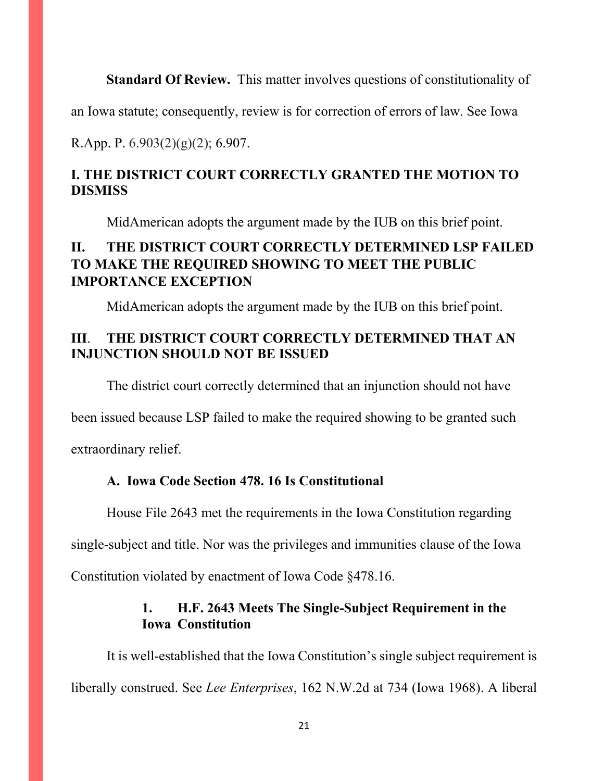**Standard Of Review.** This matter involves questions of constitutionality of

an Iowa statute; consequently, review is for correction of errors of law. See [Iowa](https://web2.westlaw.com/find/default.wl?mt=Iowa&db=1000256&rs=WLW15.04&docname=IAR6.907&rp=%2ffind%2fdefault.wl&findtype=L&ordoc=2032969954&tc=-1&vr=2.0&fn=_top&sv=Split&tf=-1&pbc=4FED869A&utid=1) 

R.App. P.  $6.903(2)(g)(2)$ ; 6.907.

# **I. THE DISTRICT COURT CORRECTLY GRANTED THE MOTION TO DISMISS**

MidAmerican adopts the argument made by the IUB on this brief point.

# **II. THE DISTRICT COURT CORRECTLY DETERMINED LSP FAILED TO MAKE THE REQUIRED SHOWING TO MEET THE PUBLIC IMPORTANCE EXCEPTION**

MidAmerican adopts the argument made by the IUB on this brief point.

# **III**. **THE DISTRICT COURT CORRECTLY DETERMINED THAT AN INJUNCTION SHOULD NOT BE ISSUED**

The district court correctly determined that an injunction should not have

been issued because LSP failed to make the required showing to be granted such

extraordinary relief.

### **A. Iowa Code Section 478. 16 Is Constitutional**

House File 2643 met the requirements in the Iowa Constitution regarding

single-subject and title. Nor was the privileges and immunities clause of the Iowa

Constitution violated by enactment of Iowa Code §478.16.

# **1. H.F. 2643 Meets The Single-Subject Requirement in the Iowa Constitution**

It is well-established that the Iowa Constitution's single subject requirement is liberally construed. See *Lee Enterprises*, 162 N.W.2d at 734 (Iowa 1968). A liberal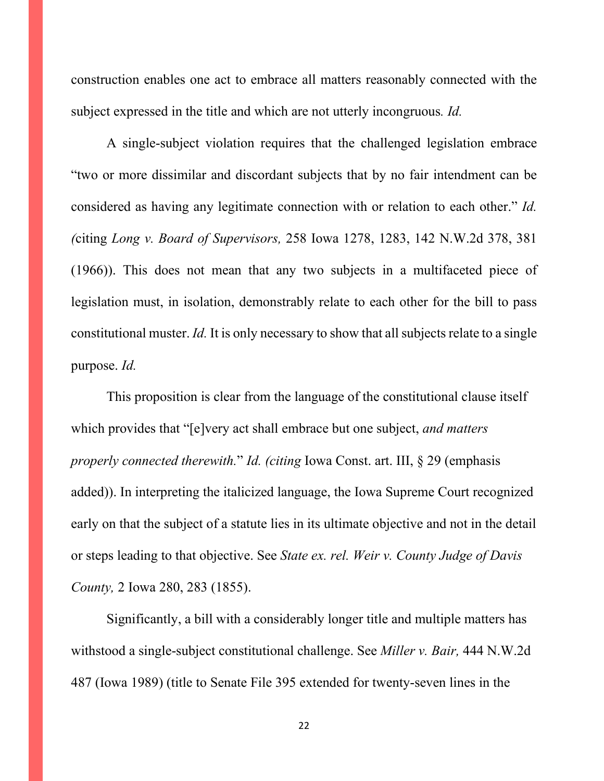construction enables one act to embrace all matters reasonably connected with the subject expressed in the title and which are not utterly incongruous*. Id.*

A single-subject violation requires that the challenged legislation embrace "two or more dissimilar and discordant subjects that by no fair intendment can be considered as having any legitimate connection with or relation to each other." *Id. (*citing *Long v. Board of Supervisors,* [258 Iowa 1278, 1283, 142 N.W.2d 378, 381](http://www.westlaw.com/Link/Document/FullText?findType=Y&serNum=1966110886&pubNum=0000595&originatingDoc=Idc98de52ff7611d98ac8f235252e36df&refType=RP&fi=co_pp_sp_595_381&originationContext=document&vr=3.0&rs=cblt1.0&transitionType=DocumentItem&contextData=(sc.DocLink)#co_pp_sp_595_381)  [\(1966\)\)](http://www.westlaw.com/Link/Document/FullText?findType=Y&serNum=1966110886&pubNum=0000595&originatingDoc=Idc98de52ff7611d98ac8f235252e36df&refType=RP&fi=co_pp_sp_595_381&originationContext=document&vr=3.0&rs=cblt1.0&transitionType=DocumentItem&contextData=(sc.DocLink)#co_pp_sp_595_381). This does not mean that any two subjects in a multifaceted piece of legislation must, in isolation, demonstrably relate to each other for the bill to pass constitutional muster. *Id.* It is only necessary to show that all subjects relate to a single purpose. *Id.*

This proposition is clear from the language of the constitutional clause itself which provides that "[e]very act shall embrace but one subject, *and matters properly connected therewith.*" *Id. (citing* [Iowa Const. art. III, § 29](http://www.westlaw.com/Link/Document/FullText?findType=L&pubNum=1000371&cite=IACNART3S29&originatingDoc=Idc98de52ff7611d98ac8f235252e36df&refType=LQ&originationContext=document&vr=3.0&rs=cblt1.0&transitionType=DocumentItem&contextData=(sc.DocLink)) (emphasis added)). In interpreting the italicized language, the Iowa Supreme Court recognized early on that the subject of a statute lies in its ultimate objective and not in the detail or steps leading to that objective. See *[State ex. rel. Weir v. County Judge of Davis](http://www.westlaw.com/Link/Document/FullText?findType=Y&serNum=1855001127&pubNum=0000444&originatingDoc=Idc98de52ff7611d98ac8f235252e36df&refType=RP&fi=co_pp_sp_444_283&originationContext=document&vr=3.0&rs=cblt1.0&transitionType=DocumentItem&contextData=(sc.DocLink)#co_pp_sp_444_283)  County,* [2 Iowa 280, 283 \(1855\).](http://www.westlaw.com/Link/Document/FullText?findType=Y&serNum=1855001127&pubNum=0000444&originatingDoc=Idc98de52ff7611d98ac8f235252e36df&refType=RP&fi=co_pp_sp_444_283&originationContext=document&vr=3.0&rs=cblt1.0&transitionType=DocumentItem&contextData=(sc.DocLink)#co_pp_sp_444_283)

Significantly, a bill with a considerably longer title and multiple matters has withstood a single-subject constitutional challenge. See *Miller v. Bair,* 444 N.W.2d 487 (Iowa 1989) (title to Senate File 395 extended for twenty-seven lines in the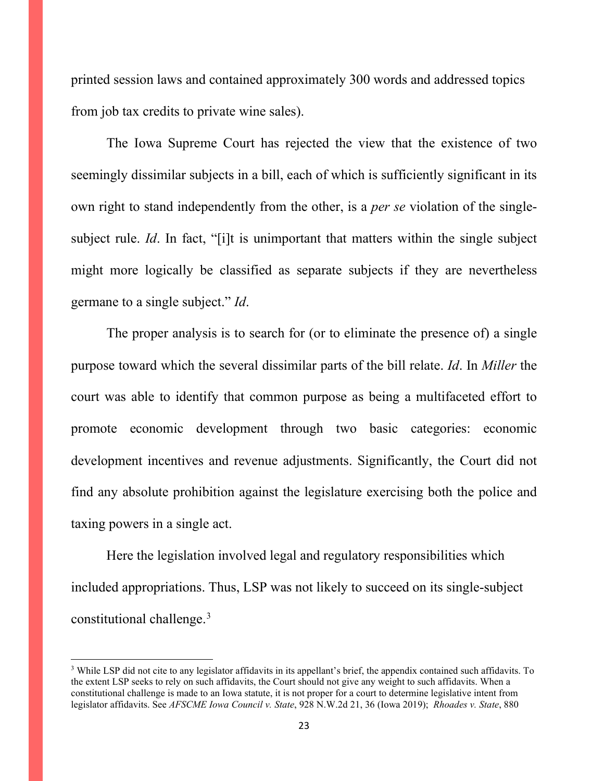printed session laws and contained approximately 300 words and addressed topics from job tax credits to private wine sales).

The Iowa Supreme Court has rejected the view that the existence of two seemingly dissimilar subjects in a bill, each of which is sufficiently significant in its own right to stand independently from the other, is a *per se* violation of the singlesubject rule. *Id*. In fact, "[i]t is unimportant that matters within the single subject might more logically be classified as separate subjects if they are nevertheless germane to a single subject." *Id*.

The proper analysis is to search for (or to eliminate the presence of) a single purpose toward which the several dissimilar parts of the bill relate. *Id*. In *Miller* the court was able to identify that common purpose as being a multifaceted effort to promote economic development through two basic categories: economic development incentives and revenue adjustments. Significantly, the Court did not find any absolute prohibition against the legislature exercising both the police and taxing powers in a single act.

Here the legislation involved legal and regulatory responsibilities which included appropriations. Thus, LSP was not likely to succeed on its single-subject constitutional challenge.[3](#page-22-0)

<span id="page-22-0"></span><sup>3</sup> While LSP did not cite to any legislator affidavits in its appellant's brief, the appendix contained such affidavits. To the extent LSP seeks to rely on such affidavits, the Court should not give any weight to such affidavits. When a constitutional challenge is made to an Iowa statute, it is not proper for a court to determine legislative intent from legislator affidavits. See *AFSCME Iowa Council v. State*, 928 N.W.2d 21, 36 (Iowa 2019); *[Rhoades v. State](http://www.westlaw.com/Link/Document/FullText?findType=Y&serNum=2038680033&pubNum=0000595&originatingDoc=Ib853424078c711e998e8870e22e55653&refType=RP&fi=co_pp_sp_595_447&originationContext=document&vr=3.0&rs=cblt1.0&transitionType=DocumentItem&contextData=(sc.Search)#co_pp_sp_595_447)*, 880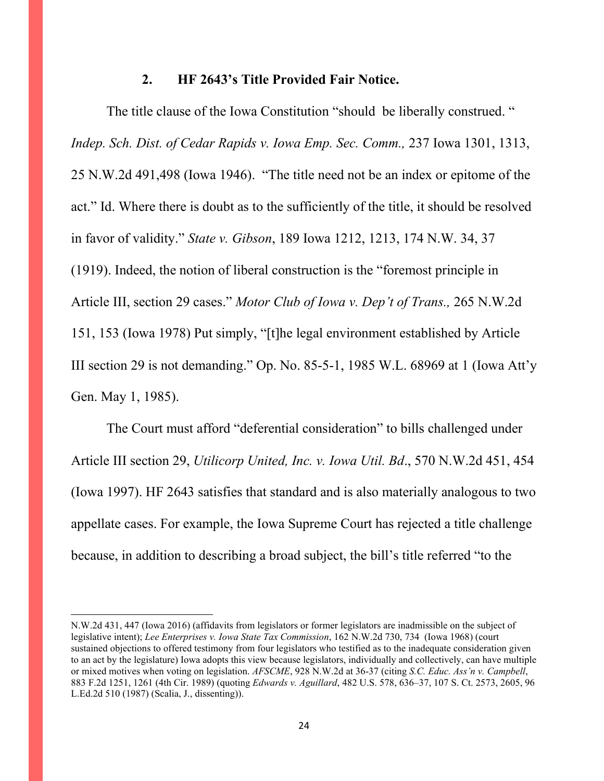#### **2. HF 2643's Title Provided Fair Notice.**

The title clause of the Iowa Constitution "should be liberally construed. " *Indep. Sch. Dist. of Cedar Rapids v. Iowa Emp. Sec. Comm.,* 237 Iowa 1301, 1313, 25 N.W.2d 491,498 (Iowa 1946). "The title need not be an index or epitome of the act." Id. Where there is doubt as to the sufficiently of the title, it should be resolved in favor of validity." *State v. Gibson*, 189 Iowa 1212, 1213, 174 N.W. 34, 37 (1919). Indeed, the notion of liberal construction is the "foremost principle in Article III, section 29 cases." *Motor Club of Iowa v. Dep't of Trans.,* 265 N.W.2d 151, 153 (Iowa 1978) Put simply, "[t]he legal environment established by Article III section 29 is not demanding." Op. No. 85-5-1, 1985 W.L. 68969 at 1 (Iowa Att'y Gen. May 1, 1985).

The Court must afford "deferential consideration" to bills challenged under Article III section 29, *Utilicorp United, Inc. v. Iowa Util. Bd*., 570 N.W.2d 451, 454 (Iowa 1997). HF 2643 satisfies that standard and is also materially analogous to two appellate cases. For example, the Iowa Supreme Court has rejected a title challenge because, in addition to describing a broad subject, the bill's title referred "to the

[N.W.2d 431, 447 \(Iowa 2016\)](http://www.westlaw.com/Link/Document/FullText?findType=Y&serNum=2038680033&pubNum=0000595&originatingDoc=Ib853424078c711e998e8870e22e55653&refType=RP&fi=co_pp_sp_595_447&originationContext=document&vr=3.0&rs=cblt1.0&transitionType=DocumentItem&contextData=(sc.Search)#co_pp_sp_595_447) (affidavits from legislators or former legislators are inadmissible on the subject of legislative intent); *Lee Enterprises v. Iowa State Tax Commission*, 162 N.W.2d 730, 734 (Iowa 1968) (court sustained objections to offered testimony from four legislators who testified as to the inadequate consideration given to an act by the legislature) Iowa adopts this view because legislators, individually and collectively, can have multiple or mixed motives when voting on legislation. *AFSCME*, 928 N.W.2d at 36-37 (citing *[S.C. Educ. Ass'n v. Campbell](http://www.westlaw.com/Link/Document/FullText?findType=Y&serNum=1989124976&pubNum=0000350&originatingDoc=Ib853424078c711e998e8870e22e55653&refType=RP&fi=co_pp_sp_350_1261&originationContext=document&vr=3.0&rs=cblt1.0&transitionType=DocumentItem&contextData=(sc.Search)#co_pp_sp_350_1261)*, [883 F.2d 1251, 1261 \(4th Cir. 1989\)](http://www.westlaw.com/Link/Document/FullText?findType=Y&serNum=1989124976&pubNum=0000350&originatingDoc=Ib853424078c711e998e8870e22e55653&refType=RP&fi=co_pp_sp_350_1261&originationContext=document&vr=3.0&rs=cblt1.0&transitionType=DocumentItem&contextData=(sc.Search)#co_pp_sp_350_1261) (quoting *Edwards v. Aguillard*[, 482 U.S. 578, 636–37, 107 S. Ct. 2573, 2605, 96](http://www.westlaw.com/Link/Document/FullText?findType=Y&serNum=1987076775&pubNum=0000708&originatingDoc=Ib853424078c711e998e8870e22e55653&refType=RP&fi=co_pp_sp_708_2605&originationContext=document&vr=3.0&rs=cblt1.0&transitionType=DocumentItem&contextData=(sc.Search)#co_pp_sp_708_2605)  [L.Ed.2d 510 \(1987\)](http://www.westlaw.com/Link/Document/FullText?findType=Y&serNum=1987076775&pubNum=0000708&originatingDoc=Ib853424078c711e998e8870e22e55653&refType=RP&fi=co_pp_sp_708_2605&originationContext=document&vr=3.0&rs=cblt1.0&transitionType=DocumentItem&contextData=(sc.Search)#co_pp_sp_708_2605) (Scalia, J., dissenting)).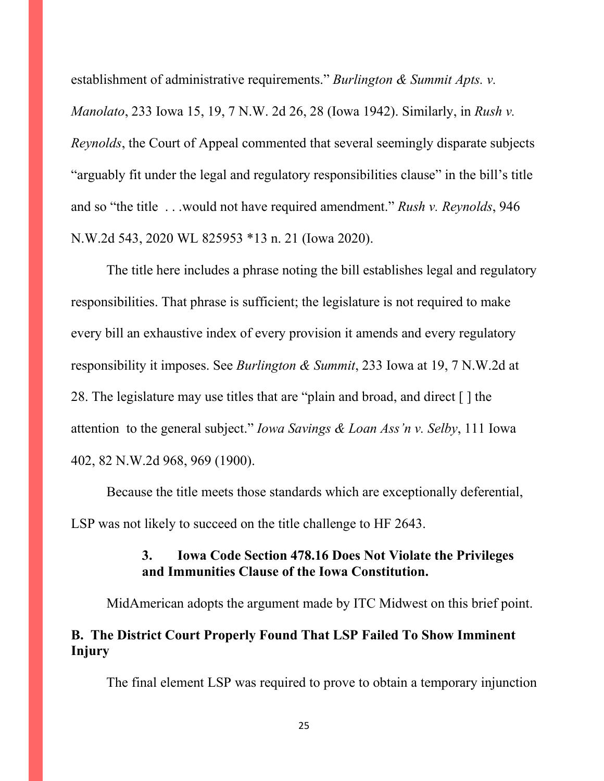establishment of administrative requirements." *Burlington & Summit Apts. v. Manolato*, 233 Iowa 15, 19, 7 N.W. 2d 26, 28 (Iowa 1942). Similarly, in *Rush v. Reynolds*, the Court of Appeal commented that several seemingly disparate subjects "arguably fit under the legal and regulatory responsibilities clause" in the bill's title and so "the title . . .would not have required amendment." *Rush v. Reynolds*, 946 N.W.2d 543, 2020 WL 825953 \*13 n. 21 (Iowa 2020).

The title here includes a phrase noting the bill establishes legal and regulatory responsibilities. That phrase is sufficient; the legislature is not required to make every bill an exhaustive index of every provision it amends and every regulatory responsibility it imposes. See *Burlington & Summit*, 233 Iowa at 19, 7 N.W.2d at 28. The legislature may use titles that are "plain and broad, and direct [ ] the attention to the general subject." *Iowa Savings & Loan Ass'n v. Selby*, 111 Iowa 402, 82 N.W.2d 968, 969 (1900).

Because the title meets those standards which are exceptionally deferential, LSP was not likely to succeed on the title challenge to HF 2643.

## **3. Iowa Code Section 478.16 Does Not Violate the Privileges and Immunities Clause of the Iowa Constitution.**

MidAmerican adopts the argument made by ITC Midwest on this brief point.

# **B. The District Court Properly Found That LSP Failed To Show Imminent Injury**

The final element LSP was required to prove to obtain a temporary injunction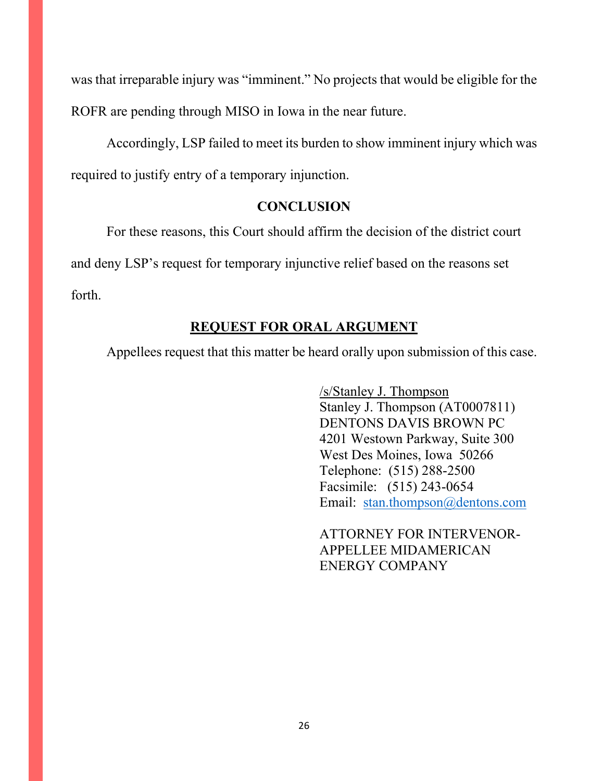was that irreparable injury was "imminent." No projects that would be eligible for the ROFR are pending through MISO in Iowa in the near future.

Accordingly, LSP failed to meet its burden to show imminent injury which was required to justify entry of a temporary injunction.

## **CONCLUSION**

For these reasons, this Court should affirm the decision of the district court

and deny LSP's request for temporary injunctive relief based on the reasons set

forth.

# **REQUEST FOR ORAL ARGUMENT**

Appellees request that this matter be heard orally upon submission of this case.

/s/Stanley J. Thompson Stanley J. Thompson (AT0007811) DENTONS DAVIS BROWN PC 4201 Westown Parkway, Suite 300 West Des Moines, Iowa 50266 Telephone: (515) 288-2500 Facsimile: (515) 243-0654 Email: [stan.thompson@dentons.com](mailto:stan.thompson@dentons.com)

ATTORNEY FOR INTERVENOR-APPELLEE MIDAMERICAN ENERGY COMPANY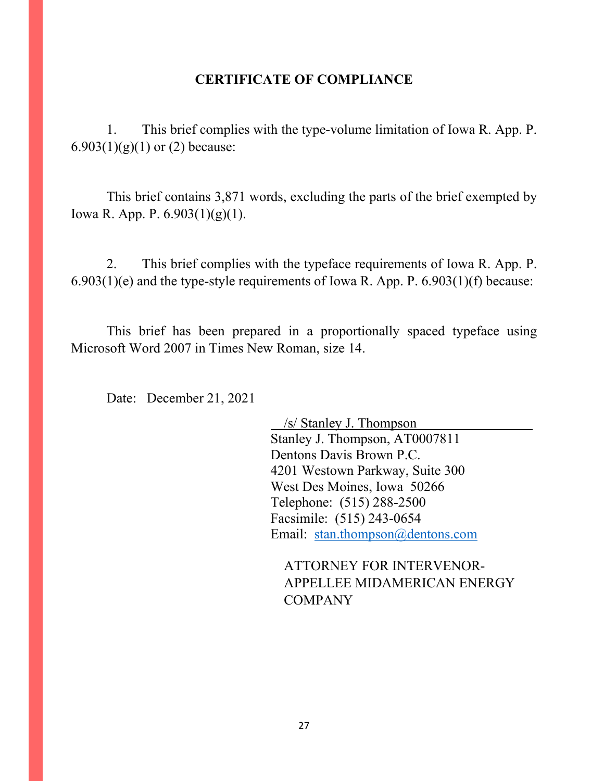### **CERTIFICATE OF COMPLIANCE**

1. This brief complies with the type-volume limitation of Iowa R. App. P. 6.903(1)(g)(1) or (2) because:

This brief contains 3,871 words, excluding the parts of the brief exempted by Iowa R. App. P. 6.903(1)(g)(1).

2. This brief complies with the typeface requirements of Iowa R. App. P.  $6.903(1)(e)$  and the type-style requirements of Iowa R. App. P.  $6.903(1)(f)$  because:

This brief has been prepared in a proportionally spaced typeface using Microsoft Word 2007 in Times New Roman, size 14.

Date: December 21, 2021

/s/ Stanley J. Thompson Stanley J. Thompson, AT0007811 Dentons Davis Brown P.C. 4201 Westown Parkway, Suite 300 West Des Moines, Iowa 50266 Telephone: (515) 288-2500 Facsimile: (515) 243-0654 Email: [stan.thompson@dentons.com](mailto:stan.thompson@dentons.com)

ATTORNEY FOR INTERVENOR-APPELLEE MIDAMERICAN ENERGY COMPANY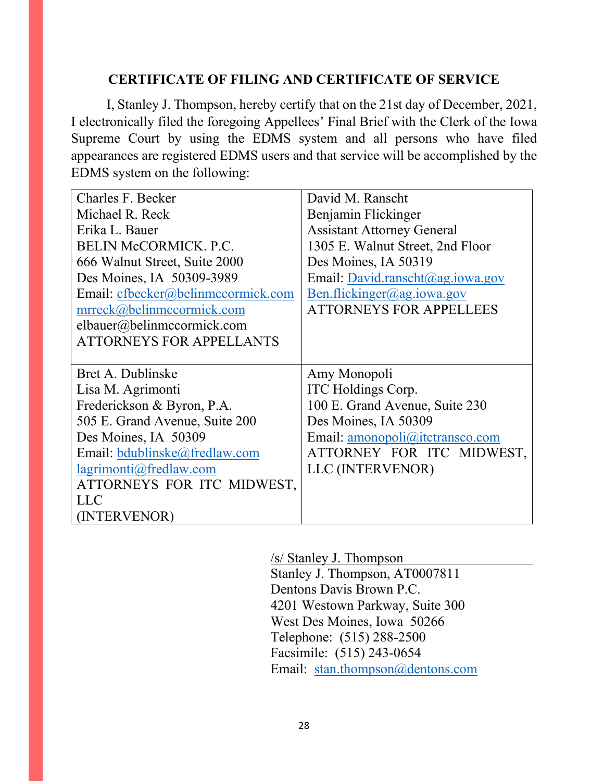## **CERTIFICATE OF FILING AND CERTIFICATE OF SERVICE**

I, Stanley J. Thompson, hereby certify that on the 21st day of December, 2021, I electronically filed the foregoing Appellees' Final Brief with the Clerk of the Iowa Supreme Court by using the EDMS system and all persons who have filed appearances are registered EDMS users and that service will be accomplished by the EDMS system on the following:

| Charles F. Becker                  | David M. Ranscht                  |
|------------------------------------|-----------------------------------|
| Michael R. Reck                    | Benjamin Flickinger               |
| Erika L. Bauer                     | <b>Assistant Attorney General</b> |
| <b>BELIN McCORMICK. P.C.</b>       | 1305 E. Walnut Street, 2nd Floor  |
| 666 Walnut Street, Suite 2000      | Des Moines, IA 50319              |
| Des Moines, IA 50309-3989          | Email: David.ranscht@ag.iowa.gov  |
| Email: cfbecker@belinmccormick.com | Ben.flickinger@ag.iowa.gov        |
| mrreck@belinmccormick.com          | <b>ATTORNEYS FOR APPELLEES</b>    |
| elbauer@belinmccormick.com         |                                   |
| <b>ATTORNEYS FOR APPELLANTS</b>    |                                   |
|                                    |                                   |
| Bret A. Dublinske                  | Amy Monopoli                      |
| Lisa M. Agrimonti                  | ITC Holdings Corp.                |
| Frederickson & Byron, P.A.         | 100 E. Grand Avenue, Suite 230    |
| 505 E. Grand Avenue, Suite 200     | Des Moines, IA 50309              |
| Des Moines, IA 50309               | Email: amonopoli@itctransco.com   |
| Email: bdublinske@fredlaw.com      | ATTORNEY FOR ITC MIDWEST,         |
| lagrimonti@fredlaw.com             | LLC (INTERVENOR)                  |
| ATTORNEYS FOR ITC MIDWEST,         |                                   |
| <b>LLC</b>                         |                                   |
| (INTERVENOR)                       |                                   |

/s/ Stanley J. Thompson

Stanley J. Thompson, AT0007811 Dentons Davis Brown P.C. 4201 Westown Parkway, Suite 300 West Des Moines, Iowa 50266 Telephone: (515) 288-2500 Facsimile: (515) 243-0654 Email: [stan.thompson@dentons.com](mailto:stan.thompson@dentons.com)